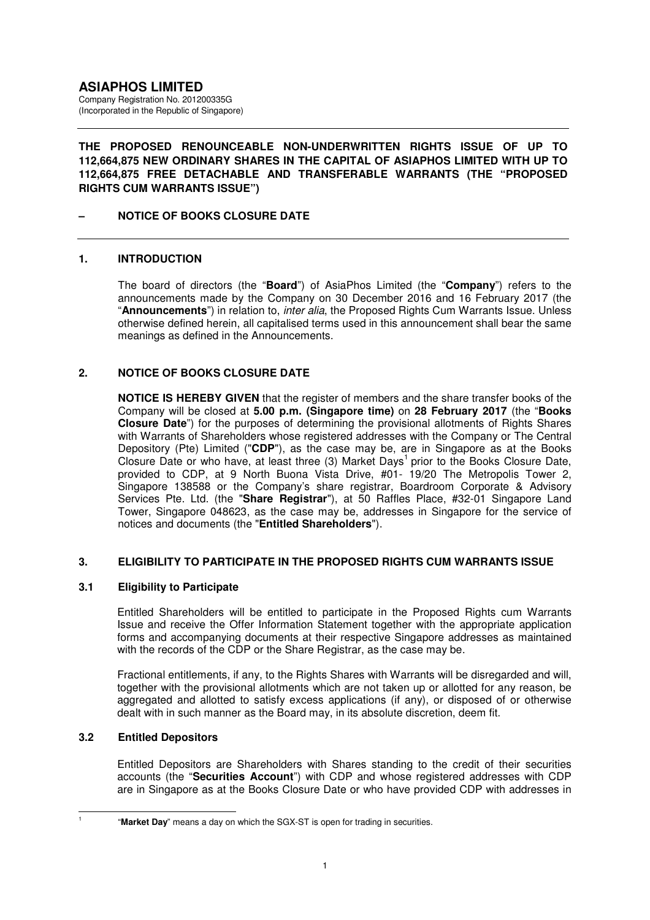(Incorporated in the Republic of Singapore)

### **THE PROPOSED RENOUNCEABLE NON-UNDERWRITTEN RIGHTS ISSUE OF UP TO 112,664,875 NEW ORDINARY SHARES IN THE CAPITAL OF ASIAPHOS LIMITED WITH UP TO 112,664,875 FREE DETACHABLE AND TRANSFERABLE WARRANTS (THE "PROPOSED RIGHTS CUM WARRANTS ISSUE")**

# **– NOTICE OF BOOKS CLOSURE DATE**

# **1. INTRODUCTION**

The board of directors (the "**Board**") of AsiaPhos Limited (the "**Company**") refers to the announcements made by the Company on 30 December 2016 and 16 February 2017 (the "**Announcements**") in relation to, inter alia, the Proposed Rights Cum Warrants Issue. Unless otherwise defined herein, all capitalised terms used in this announcement shall bear the same meanings as defined in the Announcements.

# **2. NOTICE OF BOOKS CLOSURE DATE**

**NOTICE IS HEREBY GIVEN** that the register of members and the share transfer books of the Company will be closed at **5.00 p.m. (Singapore time)** on **28 February 2017** (the "**Books Closure Date**") for the purposes of determining the provisional allotments of Rights Shares with Warrants of Shareholders whose registered addresses with the Company or The Central Depository (Pte) Limited ("**CDP**"), as the case may be, are in Singapore as at the Books Closure Date or who have, at least three (3) Market Days<sup>1</sup> prior to the Books Closure Date, provided to CDP, at 9 North Buona Vista Drive, #01- 19/20 The Metropolis Tower 2, Singapore 138588 or the Company's share registrar, Boardroom Corporate & Advisory Services Pte. Ltd. (the "**Share Registrar**"), at 50 Raffles Place, #32-01 Singapore Land Tower, Singapore 048623, as the case may be, addresses in Singapore for the service of notices and documents (the "**Entitled Shareholders**").

### **3. ELIGIBILITY TO PARTICIPATE IN THE PROPOSED RIGHTS CUM WARRANTS ISSUE**

### **3.1 Eligibility to Participate**

Entitled Shareholders will be entitled to participate in the Proposed Rights cum Warrants Issue and receive the Offer Information Statement together with the appropriate application forms and accompanying documents at their respective Singapore addresses as maintained with the records of the CDP or the Share Registrar, as the case may be.

Fractional entitlements, if any, to the Rights Shares with Warrants will be disregarded and will, together with the provisional allotments which are not taken up or allotted for any reason, be aggregated and allotted to satisfy excess applications (if any), or disposed of or otherwise dealt with in such manner as the Board may, in its absolute discretion, deem fit.

### **3.2 Entitled Depositors**

Entitled Depositors are Shareholders with Shares standing to the credit of their securities accounts (the "**Securities Account**") with CDP and whose registered addresses with CDP are in Singapore as at the Books Closure Date or who have provided CDP with addresses in

 $\overline{a}$ 1

 <sup>&</sup>quot;**Market Day**" means a day on which the SGX-ST is open for trading in securities.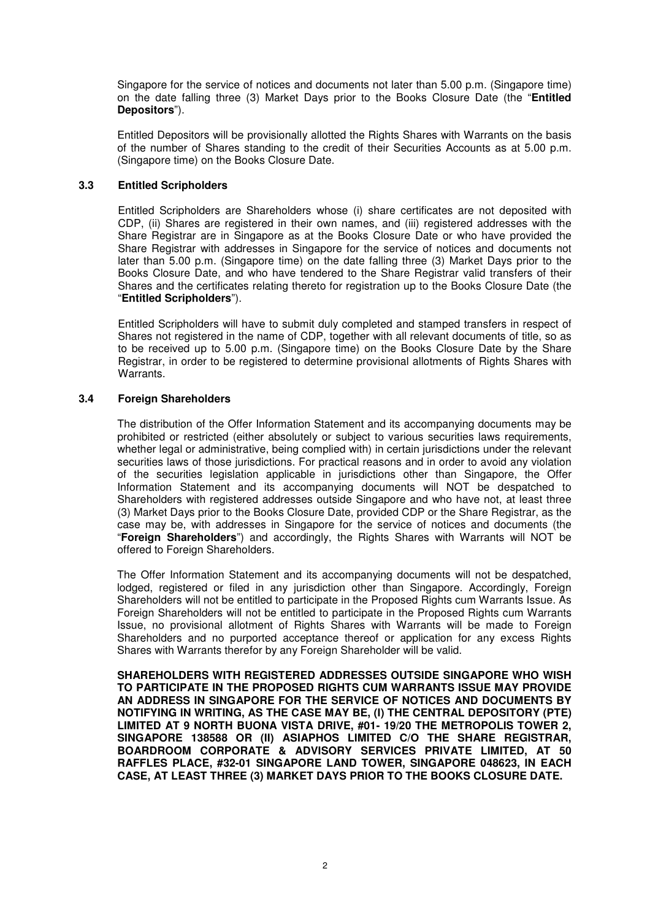Singapore for the service of notices and documents not later than 5.00 p.m. (Singapore time) on the date falling three (3) Market Days prior to the Books Closure Date (the "**Entitled Depositors**").

Entitled Depositors will be provisionally allotted the Rights Shares with Warrants on the basis of the number of Shares standing to the credit of their Securities Accounts as at 5.00 p.m. (Singapore time) on the Books Closure Date.

#### **3.3 Entitled Scripholders**

Entitled Scripholders are Shareholders whose (i) share certificates are not deposited with CDP, (ii) Shares are registered in their own names, and (iii) registered addresses with the Share Registrar are in Singapore as at the Books Closure Date or who have provided the Share Registrar with addresses in Singapore for the service of notices and documents not later than 5.00 p.m. (Singapore time) on the date falling three (3) Market Days prior to the Books Closure Date, and who have tendered to the Share Registrar valid transfers of their Shares and the certificates relating thereto for registration up to the Books Closure Date (the "**Entitled Scripholders**").

Entitled Scripholders will have to submit duly completed and stamped transfers in respect of Shares not registered in the name of CDP, together with all relevant documents of title, so as to be received up to 5.00 p.m. (Singapore time) on the Books Closure Date by the Share Registrar, in order to be registered to determine provisional allotments of Rights Shares with Warrants.

#### **3.4 Foreign Shareholders**

The distribution of the Offer Information Statement and its accompanying documents may be prohibited or restricted (either absolutely or subject to various securities laws requirements, whether legal or administrative, being complied with) in certain jurisdictions under the relevant securities laws of those jurisdictions. For practical reasons and in order to avoid any violation of the securities legislation applicable in jurisdictions other than Singapore, the Offer Information Statement and its accompanying documents will NOT be despatched to Shareholders with registered addresses outside Singapore and who have not, at least three (3) Market Days prior to the Books Closure Date, provided CDP or the Share Registrar, as the case may be, with addresses in Singapore for the service of notices and documents (the "**Foreign Shareholders**") and accordingly, the Rights Shares with Warrants will NOT be offered to Foreign Shareholders.

The Offer Information Statement and its accompanying documents will not be despatched, lodged, registered or filed in any jurisdiction other than Singapore. Accordingly, Foreign Shareholders will not be entitled to participate in the Proposed Rights cum Warrants Issue. As Foreign Shareholders will not be entitled to participate in the Proposed Rights cum Warrants Issue, no provisional allotment of Rights Shares with Warrants will be made to Foreign Shareholders and no purported acceptance thereof or application for any excess Rights Shares with Warrants therefor by any Foreign Shareholder will be valid.

**SHAREHOLDERS WITH REGISTERED ADDRESSES OUTSIDE SINGAPORE WHO WISH TO PARTICIPATE IN THE PROPOSED RIGHTS CUM WARRANTS ISSUE MAY PROVIDE AN ADDRESS IN SINGAPORE FOR THE SERVICE OF NOTICES AND DOCUMENTS BY NOTIFYING IN WRITING, AS THE CASE MAY BE, (I) THE CENTRAL DEPOSITORY (PTE) LIMITED AT 9 NORTH BUONA VISTA DRIVE, #01- 19/20 THE METROPOLIS TOWER 2, SINGAPORE 138588 OR (II) ASIAPHOS LIMITED C/O THE SHARE REGISTRAR, BOARDROOM CORPORATE & ADVISORY SERVICES PRIVATE LIMITED, AT 50 RAFFLES PLACE, #32-01 SINGAPORE LAND TOWER, SINGAPORE 048623, IN EACH CASE, AT LEAST THREE (3) MARKET DAYS PRIOR TO THE BOOKS CLOSURE DATE.**